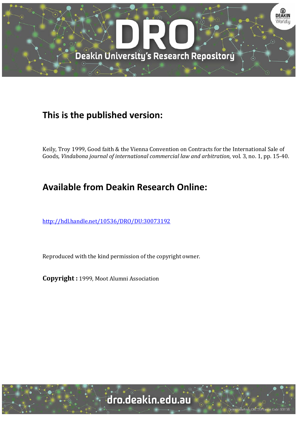

## **This is the published version:**

Keily, Troy 1999, Good faith & the Vienna Convention on Contracts for the International Sale of Goods*, Vindabona journal of international commercial law and arbitration*, vol. 3, no. 1, pp. 15‐40. 

# **Available from Deakin Research Online:**

http://hdl.handle.net/10536/DRO/DU:30073192

Reproduced with the kind permission of the copyright owner.

**Copyright** : 1999, Moot Alumni Association

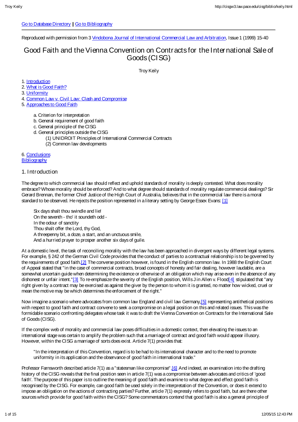#### Go to Database Directory || Go to Bibliography

Reproduced with permission from 3 Vindobona Journal of International Commercial Law and Arbitration, Issue 1 (1999) 15-40

## Good Faith and the Vienna Convention on Contracts for the International Sale of Goods (CISG)

Troy Keily

1. Introduction

2. What is Good Faith?

3. Uniformity

4. Common Law v. Civil Law: Clash and Compromise

5. Approaches to Good Faith

a. Criterion for interpretation

- b. General requirement of good faith
- c. General principle of the CISG
- d. General principles outside the CISG
	- (1) UNIDROIT Principles of International Commercial Contracts
		- (2) Common law developments

6. Conclusions **Bibliography** 

#### 1. Introduction

The degree to which commercial law should reflect and uphold standards of morality is deeply contested. What does morality embrace? Whose morality should be enforced? And to what degree should standards of morality regulate commercial dealings? Sir Gerard Brennan, the former Chief Justice of the High Court of Australia, believes that in the commercial law there is a moral standard to be observed. He rejects the position represented in a literary setting by George Essex Evans: [1]

Six days shalt thou swindle and lie! On the seventh - tho' it soundeth odd - In the odour of sanctity Thou shalt offer the Lord, thy God, A threepenny bit, a doze, a start, and an unctuous smile, And a hurried prayer to prosper another six days of guile.

At a domestic level, the task of reconciling morality with the law has been approached in divergent ways by different legal systems. For example, § 242 of the German Civil Code provides that the conduct of parties to a contractual relationship is to be governed by the requirements of good faith.[2] The converse position however, is found in the English common law. In 1988 the English Court of Appeal stated that "in the case of commercial contracts, broad concepts of honesty and fair dealing, however laudable, are a somewhat uncertain guide when determining the existence or otherwise of an obligation which may arise even in the absence of any dishonest or unfair intent."[3] To re-emphasize the severity of the English position, Wills J in Allen v. Flood 4] stipulated that "any right given by a contract may be exercised as against the giver by the person to whom it is granted, no matter how wicked, cruel or mean the motive may be which determines the enforcement of the right."

Now imagine a scenario where advocates from common law England and civil law Germany, [5] representing antithetical positions with respect to good faith and contract convene to seek a compromise on a legal position on this and related issues. This was the formidable scenario confronting delegates whose task it was to draft the Vienna Convention on Contracts for the International Sale of Goods (CISG).

If the complex web of morality and commercial law poses difficulties in a domestic context, then elevating the issues to an international stage was certain to amplify the problem such that a marriage of contract and good faith would appear illusory. However, within the CISG a marriage of sorts does exist. Article 7(1) provides that:

"In the interpretation of this Convention, regard is to be had to its international character and to the need to promote uniformity in its application and the observance of good faith in international trade."

Professor Farnsworth described article 7(1) as a "statesman like compromise". [6] And indeed, an examination into the drafting history of the CISG reveals that the final position seen in article 7(1) was a compromise between advocates and critics of 'good faith'. The purpose of this paper is to outline the meaning of good faith and examine to what degree and effect good faith is recognised by the CISG. For example, can good faith be used solely in the interpretation of the Convention, or does it extend to impose an obligation on the actions of contracting parties? Further, article 7(1) expressly refers to good faith, but are there other sources which provide for good faith within the CISG? Some commentators contend that good faith is also a general principle of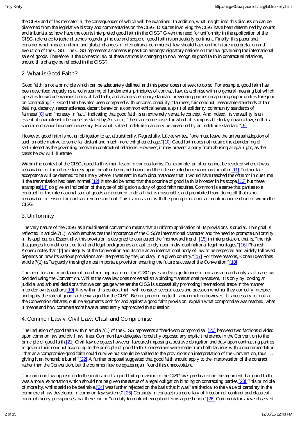the CISG and of lex mercatoria, theconsequences of which will beexamined. In addition, what insight into this discussion can be discerned from the legislative history and commentaries on the CISG. Disputes involving the CISG have been determined by courts and tribunals, so how have the courts interpreted good faith in the CISG? Given the need for uniformity in the application of the CISG, reference to judicial trends regarding the use and scope of good faith is particularly pertinent. Finally, this paper shall consider what impact uniform and global changes in international commercial law should have on the future interpretation and evolution of the CISG. The CISG represents a consensus position amongst signatory nations on the law governing the international sale of goods. Therefore, if the domestic law of these nations is changing to now recognise good faith in contractual relations, should this change be reflected in the CISG?

### 2. What is Good Faith?

Good faith is not a principle which can be adequately defined, and this paper does not seek to do so. For example, good faith has been described vaguely as a rechristening of fundamental principles of contract law, as a phrase with no general meaning but which operates to exclude various forms of bad faith, and as a discretionary standard preventing parties recapturing opportunities foregone on contracting.[7] Good faith has also been compared with unconscionability, "fairness, fair conduct, reasonable standards of fair dealing, decency, reasonableness, decent behavior, a common ethical sense, a spirit of solidarity, community standards of fairness"[8] and "honesty in fact," indicating that good faith is an extremely versatile concept. And indeed, its versatility is an essential characteristic because, as stated by Aristotle, "there are some cases for which it is impossible to lay down a law, so that a special ordinance becomes necessary. For what is itself indefinite can only be measured by an indefinite standard."[9]

However, good faith is not an obligation to act altruistically. Regretfully, Lücke writes, "one must leave the universal adoption of such a noble motive to some far-distant and much more enlightened age."[10] Good faith does not require the abandoning of self-interest as the governing motive in contractual relations. However, it may prevent a party from abusing a legal right, as the cases below will illustrate.

Within the context of the CISG, good faith is manifested in various forms. For example, an offer cannot be revoked where it was reasonable for the offeree to rely upon the offer being held open and the offeree acted in reliance on the offer.[11] Further late acceptance will be deemed to be timely where it was sent in such circumstances that it would have reached the offerror in due time if the transmission had been normal.[12] It should be noted that the doctrine of good faith is broader in its scope,[13] but these examples<sup>[14]</sup> do give an indication of the type of obligation a duty of good faith requires. Common is a sense that parties to a contract for the international sale of goods are required to do all that is reasonable, and prohibited from doing all that is not reasonable, to ensure the contract remains on foot. This is consistent with the principle of contract continuance embodied within the CISG.

## 3. Uniformity

The very nature of the CISG as a multilateral convention means that a uniform application of its provisions is crucial. This goal is reflected in article 7(1), which emphasizes the importance of the CISG's international character and the need to promote uniformity in its application. Essentially, this provision is designed to counteract the "homeward trend" [15] in interpretation, that is, "the risk that judges from different cultural and legal backgrounds are apt to rely upon individual national legal heritages."[16] Phanesh Koneru notes that "[t]he integrity of the Convention and its role as an international body of law to be respected and widely followed depends on how its various provisions are interpreted by the judiciary in a given country."[17] For these reasons, Koneru describes article 7(1) as "arguably the single most important provision ensuring the future success of the Convention."[18]

The need for and importance of a uniform application of the CISG gives added significance to a discussion and analysis of case law decided using the Convention. Whilst the case law does not establish a binding transnational precedent, it is only by looking at judicial and arbitral decisions that we can gauge whether the CISG is successfully promoting international trade in the manner intended by its authors.[19] It is within this context that I will consider several cases and question whether they correctly interpret and apply the role of good faith envisaged for the CISG. Before proceeding to this examination however, it is necessary to look at the Convention debates, outline arguments both for and against a good faith provision, explain what compromise was reached, what it means and how commentators have subsequently approached this question.

## 4. Common Law v. Civil Law: Clash and Compromise

The inclusion of good faith within article 7(1) of the CISG represents a "hard-won compromise" [20] between two factions divided upon common law and civil law lines. Common law delegates forcefully opposed any explicit reference in the Convention to the principle of good faith.[21] Civil law delegates however, favoured imposing a positive obligation and duty upon contracting parties to govern their conduct according to the principle of good faith. Concessions were made from both factions with a recommendation "that as a compromise good faith could survive but should be shifted to the provisions on interpretation of the Convention, thus . . . giving it an honorable burial."[22] A further proposal suggested that good faith should apply to the interpretation of the contract rather than the Convention, but the common law delegates again found this unacceptable.

The common law opposition to the inclusion of a good faith provision in the CISG was predicated on the argument that good faith was a moral exhortation which should not be given the status of a legal obligation binding on contracting parties.[23] This principle of morality, whilst said to be desirable,[24] was further rejected on the basis that it was "antithetical to the value of certainty in the commercial law developed in common-law systems".[25] Certainty in contract is a corollary of freedom of contract and classical contract theory presupposes that there can be "no duty to contract except on terms agreed upon."[26] Commentators have observed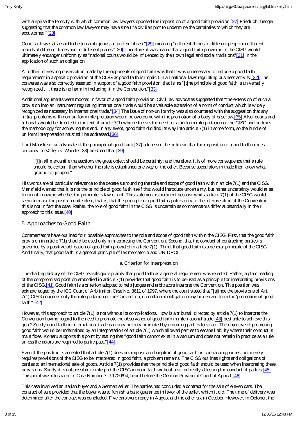with surprise the ferocity with which common law lawyers opposed the imposition of a good faith provision,[27] Friedrich Juenger suggesting that the common law lawyers may have smelt "a civilian plot to undermine the certainties to which they are accustomed."[28]

Good faith was also said to be too ambiguous, a "protein phrase"[29] meaning "different things to different people in different moods at different times and in different places."[30] Therefore, it was feared that a good faith provision in the CISG would ultimately endanger uniformity as "national courts would be influenced by their own legal and social traditions"[31] in the application of such an obligation.

A further interesting observation made by the opponents of good faith was that it was unnecessary to include a good faith requirement in a specific provision of the CISG as good faith is implicit in all national laws regulating business activity.[32] The converse was also correctly asserted in support of a good faith provision, that is, as "[t]he principle of good faith is universally recognized . . . there is no harm in including it in the Convention."[33]

Additional arguments were mooted in favor of a good faith provision. Civil law advocates suggested that "the extension of such a provision into an instrument regulating international trade would be a valuable extension of a norm of conduct which is widely recognized as necessary in international trade."[34] The issue of non-uniformity was also countered with the suggestion that any initial problems with non-uniform interpretation would be overcome with the promotion of a body of case law.[35] Also, courts and tribunals would be directed to the text of article 7(1) which stresses the need for a uniform interpretation of the CISG and outlines the methodology for achieving this end. In any event, good faith did find its way into article 7(1) in some form, so the hurdle of uniform interpretation must still be addressed.[36]

Lord Mansfield, an advocate of the principle of good faith,[37] addressed the criticism that the imposition of good faith erodes certainty. In Vallejo v. Wheeler<sup>[38]</sup> he stated that:<sup>[39]</sup>

"[i]n all mercantile transactions the great object should be certainty: and therefore, it is of more consequence that a rule should be certain, than whether the rule is established one way or the other. Because speculators in trade then know what ground to go upon."

His words are of particular relevance to the debate surrounding the role and scope of good faith within article 7(1) and the CISG. Mansfield warned that it is not the principle of good faith itself that would introduce uncertainty, but rather uncertainty would arise from not knowing whether the principle is law or not. This statement is pertinent because whilst article 7(1) of the CISG would seem to make the position quite clear, that is, that the principle of good faith applies only to the interpretation of the Convention, this is not in fact the case. Rather, the role of good faith in the CISG is uncertain as commentators differ substantially in their approach to this issue.[40]

## 5. Approaches to Good Faith

Commentators have outlined four possible approaches to the role and scope of good faith within the CISG. First, that the good faith provision in article 7(1) should be used only in interpreting the Convention. Second, that the conduct of contracting parties is governed by a positive obligation of good faith provided in article 7(1). Third, that good faith is a general principle of the CISG. And finally, that good faith is a general principle of lex mercatoria and UNIDROIT.

#### a. Criterion for interpretation

The drafting history of the CISG reveals quite plainly that good faith as a general requirement was rejected. Rather, a plain reading of the compromised position embodied in article 7(1) provides that good faith is to be used as a principle for interpreting provisions of the CISG.[41] Good faith is a criterion adopted to help judges and arbitrators interpret the Convention. This position was acknowledged by the ICC Court of Arbitration Case No. 8611 of 1997, where the court stated that "[s]ince the provisions of Art. 7(1) CISG concerns only the interpretation of the Convention, no collateral obligation may be derived from the 'promotion of good faith'".[42]

However, this approach to article 7(1) is not without its complications. How is a tribunal, directed by article 7(1) to interpret the Convention having regard to the need to promote the observance of good faith in international trade,[43] best able to achieve this goal? Surely good faith in international trade can only be truly promoted by requiring parties to so act. The objective of promoting good faith would be undermined by an interpretation of article 7(1) which allowed parties to escape liability where their conduct is mala fides. Koneru supports this point by stating that "good faith cannot exist in a vacuum and does not remain in practice as a rule unless the actors are required to participate."[44]

Even if the position is accepted that article 7(1) does not impose an obligation of good faith on contracting parties, but merely requires provisions of the CISG to be interpreted in good faith, a problem remains. The CISG outlines rights and obligations of parties to an international sale of goods. Article 7(1) provides that the principle of good faith should be used when interpreting these provisions. Surely it is not possible to interpret the CISG in good faith without also indirectly affecting the conduct of parties.[45] This point was illustrated in Case Number 7 U 1720/94, heard before the German Provincial Court of Appeal.[46]

This case involved an Italian buyer and a German seller. The parties had concluded a contract for the sale of eleven cars. The contract of sale provided that the buyer was to furnish a bank guarantee in favor of the seller, which it did. The time of delivery was determined after the contract was concluded. Five cars were ready in August and the other six in October. However, in October, the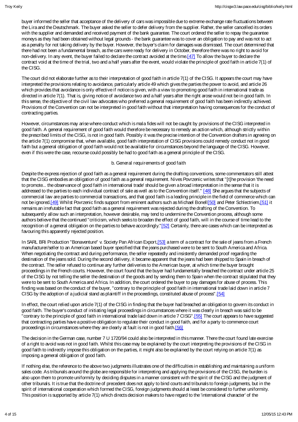buyer informed the seller that acceptance of the delivery of cars was impossible due to extreme exchange rate fluctuations between the Lira and the Deutschmark. The buyer asked the seller to defer delivery from the supplier. Rather, the seller cancelled its orders with the supplier and demanded and received payment of the bank guarantee. The court ordered the seller to repay the guarantee moneys as they had been obtained without legal grounds - the bank guarantee was to cover an obligation to pay and was not to act as a penalty for not taking delivery by the buyer. However, the buyer's claim for damages was dismissed. The court determined that there had not been a fundamental breach, as the cars were ready for delivery in October, therefore there was no right to avoid for non-delivery. In any event, the buyer failed to declare the contract avoided at the time.[47] To allow the buyer to declare the contract void at the time of the trial, two and a half years after the event, would violate the principle of good faith in article 7(1) of the CISG.

The court did not elaborate further as to their interpretation of good faith in article 7(1) of the CISG. It appears the court may have interpreted the provisions relating to avoidance, particularly article 49 which gives the parties the power to avoid, and article 26 which provides that avoidance is only effective if notice is given, with a view to promoting good faith in international trade as directed in article 7(1). That is, giving notice of avoidance two and a half years after the right arose would not be in good faith. In this sense, the objective of the civil law advocates who preferred a general requirement of good faith has been indirectly achieved. Provisions of the Convention can not be interpreted in good faith without that interpretation having consequences for the conduct of contracting parties.

However, circumstances may arise where conduct which is mala fides will not be caught by provisions of the CISG interpreted in good faith. A general requirement of good faith would therefore be necessary to remedy an action which, although strictly within the prescribed limits of the CISG, is not in good faith. Possibly it was the precise intention of the Convention drafters in agreeing on the article 7(1) compromise that, when available, good faith interpretation of CISG provisions could remedy conduct not in good faith but a general obligation of good faith would not be available for circumstances beyond the language of the CISG. However, even if this were the case, recourse could possibly be had to good faith as a general principle of the CISG.

#### b. General requirements of good faith

Despite the express rejection of good faith as a general requirement during the drafting conventions, some commentators still attest that the CISG embodies an obligation of good faith as a general requirement. Nives Povrzenic writes that "[t]he provision 'the need to promote... the observance of good faith in international trade' should be given a broad interpretation in the sense that it is addressed to the parties to each individual contract of sale as well as to the Convention itself." [48] She argues that the subjects of commercial law are parties to commercial transactions, and that good faith is a leading principle in the field of commerce which can not be ignored.[49] Whilst Povrzenic finds support from eminent authors such as Michael Bonell[50] and Peter Schlectriem.[51] it remains an irrefutable fact that good faith as a general requirement was rejected during the drafting of the Convention. To subsequently allow such an interpretation, however desirable, may tend to undermine the Convention process, although some authors believe that the continued "criticism, which seeks to broaden the effect of good faith, will in the course of time lead to the recognition of a general obligation on the parties to behave accordingly."[52] Certainly, there are cases which can be interpreted as favouring this apparently rejected position.

In SARL BRi Production "Bonaventure" v. Society Pan African Export,[53] a term of a contract for the sale of jeans from a French manufacturer/seller to an American based buyer specified that the jeans purchased were to be sent to South America and Africa. When negotiating the contract and during performance, the seller repeatedly and insistently demanded proof regarding the destination of the jeans sold. During the second delivery, it became apparent that the jeans had been shipped to Spain in breach of the contract. The seller refused to continue any further deliveries to the American buyer, at which time the buyer brought proceedings in the French courts. However, the court found that the buyer had fundamentally breached the contract under article 25 of the CISG by not telling the seller the destination of the goods and by sending them to Spain when the contract stipulated that they were to be sent to South America and Africa. In addition, the court ordered the buyer to pay damages for abuse of process. This finding was based on the conduct of the buyer, "contrary to the principle of good faith in international trade laid down in article 7 CISG by the adoption of a judicial stand as plaintiff in the proceedings, constituted abuse of process".[54]

In effect, the court relied upon article 7(1) of the CISG in finding that the buyer had breached an obligation to govern its conduct in good faith. The buyer's conduct of initiating legal proceedings in circumstances where it was clearly in breach was said to be "contrary to the principle of good faith in international trade laid down in article 7 CISG".[55] The court appears to have suggested that contracting parties have a positive obligation to regulate their conduct in good faith, and for a party to commence court proceedings in circumstances where they are clearly at fault is not in good faith.[56]

The decision in the German case, number 7 U 1720/94 could also be interpreted in this manner. There the court found late exercise of a right to avoid was not in good faith. Whilst this case may be explained by the court interpreting the provisions of the CISG in good faith to indirectly impose this obligation on the parties, it might also be explained by the court relying on article 7(1) as imposing a general obligation of good faith.

If nothing else, the reference to the above two judgments illustrates one of the difficulties in establishing and maintaining a uniform sales code. As tribunals around the globe are responsible for interpreting and applying the provisions of the CISG, the burden is also upon them to promote uniformity by deciding disputes in a manner consistent with the spirit of the CISG and the judgment of other tribunals. It is true that the doctrine of precedent does not apply to bind courts and tribunals to foreign judgments, but in the spirit of international cooperation which formed the CISG, foreign judgments should at least be considered to further uniformity. This position is supported by article 7(1) which directs decision makers to have regard to the 'international character' of the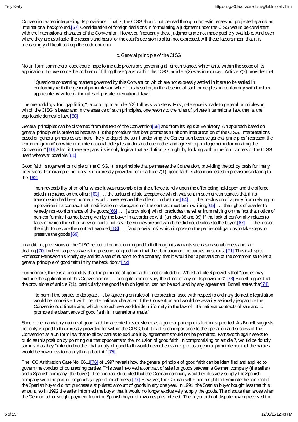Convention when interpreting its provisions. That is, theCISG should not beread through domestic lenses but projected against an international background.[57] Consideration of foreign decisions in formulating a judgment under the CISG would be consistent with the international character of the Convention. However, frequently these judgments are not made publicly available. And even where they are available, the reasons and basis for the court's decision is often not expressed. All these factors mean that it is increasingly difficult to keep the code uniform.

#### c. General principle of the CISG

No uniform commercial code could hope to include provisions governing all circumstances which arise within the scope of its application. To overcome the problem of filling those 'gaps' within the CISG, article 7(2) was introduced. Article 7(2) provides that:

"Questions concerning matters governed by this Convention which are not expressly settled in it are to be settled in conformity with the general principles on which it is based or, in the absence of such principles, in conformity with the law applicable by virtue of the rules of private international law."

The methodology for "gap filling", according to article 7(2) follows two steps. First, reference is made to general principles on which the CISG is based and in the absence of such principles, one resorts to the rules of private international law, that is, the applicable domestic law. [58]

General principles can be discerned from the text of the Convention<sup>[59]</sup> and from its legislative history. An approach based on general principles is preferred because it is the procedure that best promotes a uniform interpretation of the CISG. Interpretations based on general principles are more likely to depict the spirit underlying the Convention because general principles "represent the 'common ground' on which the international delegates understood each other and agreed to join together in formulating the Convention".[60] Also, if there are gaps, its is only logical that a solution is sought by looking within the four corners of the CISG itself wherever possible.<sup>[61]</sup>

Good faith is a general principle of the CISG. It is a principle that permeates the Convention, providing the policy basis for many provisions. For example, not only is it expressly provided for in article 7(1), good faith is also manifested in provisions relating to the: [62]

"non-revocability of an offer where it was reasonable for the offeree to rely upon the offer being held open and the offeree acted in reliance on the offer;  $[63]$ ... the status of a late acceptance which was sent in such circumstances that if its transmission had been normal it would have reached the offeror in due time;[64] . . . the preclusion of a party from relying on a provision in a contract that modification or abrogation of the contract must be in writing;[65] . . . the rights of a seller to remedy non-conformance of the goods;[66] ... [a provision] which precludes the seller from relying on the fact that notice of non-conformity has not been given by the buyer in accordance with [articles 38 and 39] if the lack of conformity relates to facts of which the seller knew or could not have been unaware and which he did not disclose to the buyer;[67] . . . the loss of the right to declare the contract avoided; $[68]$ ... [and provisions] which impose on the parties obligations to take steps to preserve the goods.[69]

In addition, provisions of the CISG reflect a foundation in good faith through its variants such as reasonableness and fair dealing. [70] Indeed, so pervasive is the presence of good faith that the obligation on the parties must exist. [71] This is despite Professor Farnsworth's lonely cry amidst a sea of support to the contrary, that it would be "a perversion of the compromise to let a general principle of good faith in by the back door."[72]

Furthermore, there is a possibility that the principle of good faith is not excludable. Whilst article 6 provides that "parties may exclude the application of this Convention or . . . derogate from or vary the effect of any of its provisions",[73] Bonell argues that the provisions of article 7(1), particularly the good faith obligation, can not be excluded by any agreement. Bonell states that [74]

"to permit the parties to derogate . . . by agreeing on rules of interpretation used with respect to ordinary domestic legislation would be inconsistent with the international character of the Convention and would necessarily seriously jeopardize the Convention's ultimate aim, which is to achieve worldwide uniformity in the law of international contracts of sale and to promote the observance of good faith in international trade."

Should the mandatory nature of good faith be accepted, its existence as a general principle is further supported. As Bonell suggests, not only is good faith expressly provided for within the CISG, but it is of such importance to the operation and success of the Convention as a uniform law that to allow parties to exclude it by agreement should not be permitted. Farnsworth again seeks to criticise this position by pointing out that opponents to the inclusion of good faith, in compromising on article 7, would be doubly surprised as they "intended neither that a duty of good faith would nevertheless creep in as a general principle nor that the parties would be powerless to do anything about it."[75]

The ICC Arbitration Case No. 8611[76] of 1997 reveals how the general principle of good faith can be identified and applied to govern the conduct of contracting parties. This case involved a contract of sale for goods between a German company (the seller) and a Spanish company (the buyer). The contract stipulated that the German company would exclusively supply the Spanish company with the particular goods (a type of machinery).[77] However, the German seller had a right to terminate the contract if the Spanish buyer did not purchase a stipulated amount of goods in any one year. In 1991, the Spanish buyer bought less that this amount, so in 1992 the seller informed the buyer that it would no longer exclusively supply the goods. The dispute then arose when the German seller sought payment from the Spanish buyer of invoices plus interest. The buyer did not dispute having received the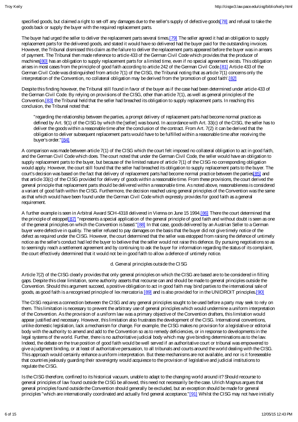specified goods, but claimed a right to set-off any damages due to the seller's supply of defective goods[78] and refusal to take the goods back or supply the buyer with the required replacement parts.

The buyer had urged the seller to deliver the replacement parts several times.[79] The seller agreed it had an obligation to supply replacement parts for the delivered goods, and stated it would have so delivered had the buyer paid for the outstanding invoices. However, the Tribunal dismissed this claim as the failure to deliver the replacement parts appeared before the buyer was in arrears of payment. The Tribunal then made reference to article 433 of the German Civil Code which provides that the producer of machines 80] has an obligation to supply replacement parts for a limited time, even if no special agreement exists. This obligation arises in most cases from the principle of good faith according to article 242 of the German Civil Code.[81] Article 433 of the German Civil Code was distinguished from article 7(1) of the CISG, the Tribunal noting that as article 7(1) concerns only the interpretation of the Convention, no collateral obligation may be derived from the 'promotion of good faith'.[82]

Despite this finding however, the Tribunal still found in favor of the buyer as if the case had been determined under article 433 of the German Civil Code. By relying on provisions of the CISG, other than article 7(1), as well as general principles of the Convention,[83] the Tribunal held that the seller had breached its obligation to supply replacement parts. In reaching this conclusion, the Tribunal noted that:

"regarding the relationship between the parties, a prompt delivery of replacement parts had become normal practice as defined by Art. 9(1) of the CISG by which the [seller] was bound. In accordance with Art. 33(c) of the CISG, the seller has to deliver the goods within a reasonable time after the conclusion of the contract. From Art. 7(2) it can be derived that the obligation to deliver subsequent replacement parts would have to be fulfilled within a reasonable time after receiving the buyer's order."[84]

A comparison was made between article 7(1) of the CISG which the court felt imposed no collateral obligation to act in good faith, and the German Civil Code which does. The court noted that under the German Civil Code, the seller would have an obligation to supply replacement parts to the buyer, but because of the limited nature of article 7(1) of the CISG no corresponding obligation would apply. However, the court still found that the seller had breached its obligation to supply replacement parts to the buyer. The court's decision was based on the fact that delivery of replacement parts had become normal practice between the parties[85] and that article 33(c) of the CISG provided for delivery of goods within a reasonable time. From these provisions, the court derived the general principle that replacement parts should be delivered within a reasonable time. As noted above, reasonableness is considered a variant of good faith within the CISG. Furthermore, the decision reached using general principles of the Convention was the same as that which would have been found under the German Civil Code which expressly provides for good faith as a general requirement.

A further example is seen in Arbitral Award SCH-4318 delivered in Vienna on June 15 1994.[86] There the court determined that the principle of estoppel[87] "represents a special application of the general principle of good faith and without doubt is seen as one of the general principles on which the Convention is based."[88] In that case, goods delivered by an Austrian Seller to a German buyer were defective in quality. The seller refused to pay damages on the basis that the buyer did not give timely notice of the defect as required under the CISG. However, the court determined that the seller was estopped from raising the defence of untimely notice as the seller's conduct had led the buyer to believe that the seller would not raise this defence. By pursuing negotiations so as to seemingly reach a settlement agreement and by continuing to ask the buyer for information regarding the status of its complaint, the court effectively determined that it would not be in good faith to allow a defence of untimely notice.

#### d. General principles outside the CISG

Article 7(2) of the CISG clearly provides that only general principles on which the CISG are based are to be considered in filling gaps. Despite this clear limitation, some authority asserts that recourse can and should be made to general principles outside the Convention. Should this argument succeed, a positive obligation to act in good faith may bind parties to the international sale of goods, as good faith is a recognised principle of lex mercatoria [89] and is also provided for in the UNIDROIT principles.[90]

The CISG requires a connection between the CISG and any general principles sought to be used before a party may seek to rely on them. This limitation is necessary to prevent the arbitrary use of general principles which would undermine a uniform interpretation of the Convention. As the provision of a uniform law was a primary objective of the Convention drafters, this limitation would appear justified and necessary. However, this limitation also frustrates the development of the CISG. International conventions, unlike domestic legislation, lack a mechanism for change. For example, the CISG makes no provision for a legislative or editorial body with the authority to amend and add to the Convention so as to remedy deficiencies, or in response to developments in the legal systems of the world. Further, there is no authoritative judicial body which may give binding determinations as to the law. Indeed, the debate on the true position of good faith would be well served if an authoritative court or tribunal was empowered to give a judgment binding, or at least of authoritative persuasion, to all tribunals and courts around the world dealing with the CISG. This approach would certainly enhance a uniform interpretation. But these mechanisms are not available, and nor is it foreseeable that countries jealously guarding their sovereignty would acquiesce to the provision of legislative and judicial institutions to regulate the CISG.

Is the CISG therefore, confined to its historical vacuum, unable to adapt to the changing world around it? Should recourse to general principles of law found outside the CISG be allowed, this need not necessarily be the case. Ulrich Magnus argues that general principles found outside the Convention should generally be excluded, but an exception should be made for general principles "which are internationally coordinated and actually find general acceptance."[91] Whilst the CISG may not have initially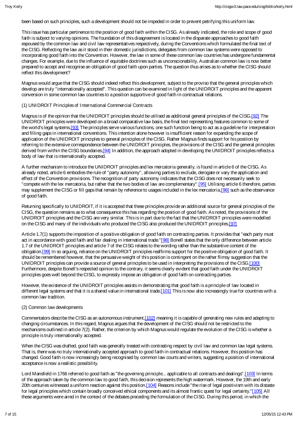been based on such principles, such a development should not beimpeded in order to prevent petrifying this uniform law.

This issue has particular pertinence to the position of good faith within the CISG. As already indicated, the role and scope of good faith is subject to varying opinions. The foundation of this disagreement is located in the disparate approaches to good faith espoused by the common law and civil law representatives respectively, during the Conventions which formulated the final text of the CISG. Reflecting the law as it stood in their domestic jurisdictions, delegates from common law systems were opposed to incorporating good faith into the Convention. However, the law in some of these common law countries has undergone fundamental changes. For example, due to the influence of equitable doctrines such as unconscionability, Australian common law is now better prepared to accept and recognise an obligation of good faith upon parties. The question thus arises as to whether the CISG should reflect this development?

Magnus would argue that the CISG should indeed reflect this development, subject to the proviso that the general principles which develop are truly "internationally accepted". This question can be examined in light of the UNIDROIT principles and the apparent conversion in some common law countries to a position supportive of good faith in contractual relations.

#### (1) UNIDROIT Principles of International Commercial Contracts

Magnus is of the opinion that the UNIDROIT principles should be utilised as additional general principles of the CISG.[92] The UNIDROIT principles were developed on a broad comparative law basis, the final text representing features common to some of the world's legal systems.[93] The principles serve various functions, one such function being to act as a guideline for interpretation and filling gaps in international conventions. This intention alone however is insufficient reason for expanding the scope of application of the UNIDROIT principles to general principles of the CISG. Rather Magnus finds support for his position by referring to the extensive correspondence between the UNIDROIT principles, the provisions of the CISG and the general principles derived from within the CISG boundaries.<sup>[94]</sup> In addition, the approach adopted in developing the UNIDROIT principles reflects a body of law that is internationally accepted.

A further mechanism to introduce the UNIDROIT principles and lex mercatoria generally, is found in article 6 of the CISG. As already noted, article 6 embodies the rule of "party autonomy", allowing parties to exclude, derogate or vary the application and effect of the Convention provisions. The recognition of party autonomy indicates that the CISG does not necessarily seek to "compete with the lex mercatoria, but rather that the two bodies of law are complementary".[95] Utilising article 6 therefore, parties may supplement the CISG or fill gaps that remain by reference to usages included in the lex mercatoria,[96] such as the observance of good faith.

Returning specifically to UNIDROIT, if it is accepted that these principles provide an additional source for general principles of the CISG, the question remains as to what consequence this has regarding the position of good faith. As noted, the provisions of the UNIDROIT principles and the CISG are very similar. This is in part due to the fact that the UNIDROIT principles were modelled on the CISG and many of the individuals who produced the CISG also produced the UNIDROIT principles.[97]

Article 1.7(1) supports the imposition of a positive obligation of good faith on contracting parties. It provides that "each party must act in accordance with good faith and fair dealing in international trade."[98] Bonell states that the only difference between article 1.7 of the UNIDROIT principles and article 7 of the CISG relates to the wording rather than the substantive content of the obligation.[99] In so arguing, reliance on the UNIDROIT principles reaffirms support for the positive obligation of good faith. It should be remembered however, that the persuasive weight of this position is contingent on the rather flimsy suggestion that the UNIDROIT principles can provide a source of general principles to be used in interpreting the provisions of the CISG.[100] Furthermore, despite Bonell's respected opinion to the contrary, it seems clearly evident that good faith under the UNIDROIT principles goes well beyond the CISG, to expressly impose an obligation of good faith on contracting parties.

However, the existence of the UNIDROIT principles assists in demonstrating that good faith is a principle of law located in different legal systems and that it is a shared value in international trade.[101] This is now also increasingly true for countries with a common law tradition.

#### (2) Common law developments

Commentators describe the CISG as an autonomous instrument,[102] meaning it is capable of generating new rules and adapting to changing circumstances. In this regard, Magnus argues that the development of the CISG should not be restricted to the mechanisms outlined in article 7(2). Rather, the criterion by which Magnus would regulate the evolution of the CISG is whether a principle is truly internationally accepted.

When the CISG was drafted, good faith was generally treated with contrasting respect by civil law and common law legal systems. That is, there was no truly internationally accepted approach to good faith in contractual relations. However, this position has changed. Good faith is now increasingly being recognised by common law courts and writers, suggesting a position of international acceptance is now a realistic possibility.

Lord Mansfield in 1766 referred to good faith as "the governing principle... applicable to all contracts and dealings".[103] In terms of the approach taken by the common law to good faith, this decision represents the high watermark. However, the 19th and early 20th centuries witnessed a uniform reaction against this position.[104] Reasons include "the rise of legal positivism with its distaste for legal principles which contain broadly conceived ethical components and its almost frantic quest for legal certainty."[105] All these arguments were aired in the context of the debates preceding the formulation of the CISG. During this period, in which the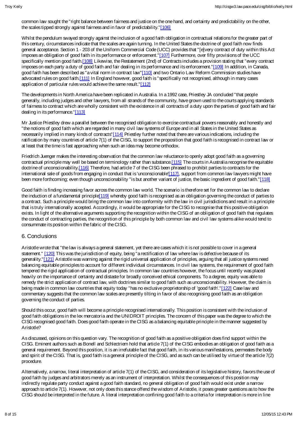common law sought the "right balance between fairness and justice on the one hand, and certainty and predictability on the other, the scales tipped strongly against fairness and in favor of predictability."[106]

Whilst the pendulum swayed strongly against the inclusion of a good faith obligation in contractual relations for the greater part of this century, circumstances indicate that the scales are again turning. In the United States the doctrine of good faith now finds general acceptance. Section 1 - 203 of the Uniform Commercial Code (UCC) provides that "[e]very contract of duty within this Act imposes an obligation of good faith in its performance or enforcement."[107] Furthermore, over fifty provisions of the UCC specifically mention good faith.[108] Likewise, the Restatement (2nd) of Contracts includes a provision stating that "every contract imposes on each party a duty of good faith and fair dealing in its performance and its enforcement."[109] In addition, in Canada, good faith has been described as "a vital norm in contract law"[110] and two Ontario Law Reform Commission studies have advocated rules on good faith.[111] In England however, good faith is "specifically not recognised, although in many cases application of particular rules would achieve the same result."[112]

The developments in North America have been replicated in Australia. In a 1992 case, Priestley JA concluded "that people generally, including judges and other lawyers, from all strands of the community, have grown used to the courts applying standards of fairness to contract which are wholly consistent with the existence in all contracts of a duty upon the parties of good faith and fair dealing in its performance."[113]

Mr Justice Priestley drew a parallel between the recognised obligation to exercise contractual powers reasonably and honestly and "the notions of good faith which are regarded in many civil law systems of Europe and in all States in the United States as necessarily implied in many kinds of contracts"[114] Priestley further noted that there are various indications, including the ratification by many countries of article 7(1) of the CISG, to support the proposition that good faith is recognised in contract law or at least that the time is fast approaching when such an idea may become orthodox.

Friedrich Juenger makes the interesting observation that the common law reluctance to openly adopt good faith as a governing contractual principle may well be based on terminology rather than substance.[115] The courts in Australia recognise the equitable doctrine of unconscionability.[116] Therefore, had article 7 of the CISG been phrased to prohibit parties to contracts for the international sale of goods from engaging in conduct that is 'unconscionable'[117], support from common law lawyers might have been more forthcoming; even though unconscionability "is but another variant of justice, the basic ingredient of good faith."[118]

Good faith is finding increasing favor across the common law world. The scenario is therefore set for the common law to declare the induction of a fundamental principle<sup>[119]</sup> whereby good faith is recognised as an obligation governing the conduct of parties to a contract. Such a principle would bring the common law into conformity with the law in civil jurisdictions and result in a principle that is truly internationally accepted. Accordingly, it would be appropriate for the CISG to recognise that this positive obligation exists. In light of the alternative arguments supporting the recognition within the CISG of an obligation of good faith that regulates the conduct of contracting parties, the recognition of this principle by both common law and civil law systems alike would tend to consummate its position within the fabric of the CISG.

## 6. Conclusions

Aristotle wrote that "the law is always a general statement, yet there are cases which it is not possible to cover in a general statement." [120] This was the jurisdiction of equity, being "a rectification of law where law is defective because of its generality."[121] Aristotle was warning against the rigid universal application of principles, arguing that all justice systems need balancing equitable principles to account for different individual circumstances. In civil law systems, the requirement of good faith tempered the rigid application of contractual principles. In common law countries however, the focus until recently was placed heavily on the importance of certainty and distaste for broadly conceived ethical components. To a degree, equity was able to remedy the strict application of contract law, with doctrines similar to good faith such as unconscionability. However, the claim is being made in common law countries that equity today "has no exclusive proprietorship of 'good faith'."[122] Case law and commentary suggests that the common law scales are presently tilting in favor of also recognising good faith as an obligation governing the conduct of parties.

Should this occur, good faith will become a principle recognised internationally. This position is consistent with the inclusion of good faith obligations in the lex mercatoria and the UNIDROIT principles. The concern of this paper was the degree to which the CISG recognised good faith. Does good faith operate in the CISG as a balancing equitable principle in the manner suggested by Aristotle?

As discussed, opinions on this question vary. The recognition of good faith as a positive obligation does find support within the CISG. Eminent authors such as Bonell and Schlectriem hold that article 7(1) of the CISG embodies an obligation of good faith as a general requirement. Beyond this position, it is an irrefutable fact that good faith, in its various manifestations, permeates the body and spirit of the CISG. That is, good faith is a general principle of the CISG, and as such can be utilised by virtue of the article 7(2) procedure.

Alternatively, a narrow, literal interpretation of article 7(1) of the CISG, and consideration of its legislative history, favors the use of good faith by judges and arbitrators merely as an instrument of interpretation. Whilst the consequences of this position may indirectly regulate party conduct against a good faith standard, no general obligation of good faith would exist under a narrow approach to article 7(1). However, not only does this stance offend the wisdom of Aristotle, it poses greater questions as to how the CISG should be interpreted in the future. A literal interpretation confining good faith to a criteria for interpretation is more in line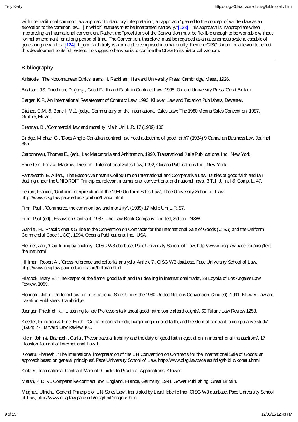with the traditional common law approach to statutory interpretation, an approach "geared to the concept of written law as an exception to the common law... [in which] statutes must be interpreted narrowly."[123] This approach is inappropriate when interpreting an international convention. Rather, the "provisions of the Convention must be flexible enough to be workable without formal amendment for a long period of time. The Convention, therefore, must be regarded as an autonomous system, capable of generating new rules."[124] If good faith truly is a principle recognised internationally, then the CISG should be allowed to reflect this development to its full extent. To suggest otherwise is to confine the CISG to its historical vacuum.

#### Bibliography

Aristotle., The Nocomatnean Ethics, trans. H. Rackham, Harvard University Press, Cambridge, Mass., 1926.

Beatson, J & Friedman, D. (eds)., Good Faith and Fault in Contract Law, 1995, Oxford University Press, Great Britain.

Berger, K.P., An International Restatement of Contract Law, 1993, Kluwer Law and Taxation Publishers, Deventer.

Bianca, C.M. & Bonell, M.J. (eds)., Commentary on the International Sales Law: The 1980 Vienna Sales Convention, 1987, Giuffré, Milan.

Brennan, B., 'Commercial law and morality' Melb Uni L.R. 17 (1989) 100.

Bridge, Michael G., 'Does Anglo-Canadian contract law need a doctrine of good faith?' (1984) 9 Canadian Business Law Journal 385.

Carbonneau, Thomas E., (ed)., Lex Mercatoria and Arbitration, 1990, Transnational Juris Publications, Inc., New York.

Enderlein, Fritz & Maskow, Dietrich., International Sales Law, 1992, Oceana Publications Inc., New York.

Farnsworth, E. Allen., 'The Eason-Weinmann Colloquim on International and Comparative Law: Duties of good faith and fair dealing under the UNIDROIT Principles, relevant international conventions, and national laws', 3 Tul. J. Int'l & Comp. L. 47.

Ferrari, Franco., 'Uniform interpretation of the 1980 Uniform Sales Law', Pace University School of Law, http://www.cisg.law.pace.edu/cisg/biblio/franco.html

Finn, Paul., 'Commerce, the common law and morality', (1989) 17 Melb Uni L.R. 87.

Finn, Paul (ed)., Essays on Contract, 1987, The Law Book Company Limited, Sefton - NSW.

Gabriel, H., Practicioner's Guide to the Convention on Contracts for the International Sale of Goods (CISG) and the Uniform Commercial Code (UCC), 1994, Oceana Publications, Inc., USA.

Hellner, Jan., 'Gap-filling by analogy', CISG W3 database, Pace University School of Law, http://www.cisg.law.pace.edu/cisg/text /hellner.html

Hillman, Robert A., 'Cross-reference and editorial analysis: Article 7', CISG W3 database, Pace University School of Law, http://www.cisg.law.pace.edu/cisg/text/hillman.html

Hiscock, Mary E., 'The keeper of the flame: good faith and fair dealing in international trade', 29 Loyola of Los Angeles Law Review, 1059.

Honnold, John., Uniform Law for International Sales Under the 1980 United Nations Convention, (2nd ed), 1991, Kluwer Law and Taxation Publishers, Cambridge.

Juenger, Friedrich K., 'Listening to law Professors talk about good faith: some afterthoughts', 69 Tulane Law Review 1253.

Kessler, Friedrich & Fine, Edith., 'Culpa in contrahendo, bargaining in good faith, and freedom of contract: a comparative study', (1964) 77 Harvard Law Review 401.

Klein, John & Bachechi, Carla., 'Precontractual liability and the duty of good faith negotiation in international transactions', 17 Houston Journal of International Law 1.

Koneru, Phanesh., 'The international interpretation of the UN Convention on Contracts for the International Sale of Goods: an approach based on general principles', Pace University School of Law, http://www.cisg.lawpace.edu/cisg/biblio/koneru.html

Kritzer., International Contract Manual: Guides to Practical Applications, Kluwer.

Marsh, P. D. V., Comparative contract law: England, France, Germany, 1994, Gower Publishing, Great Britain.

Magnus, Ulrich., 'General Principle of UN-Sales Law', translated by Lisa Haberfellner, CISG W3 database, Pace University School of Law, http://www.cisg.law.pace.edu/cisg/text/magnus.html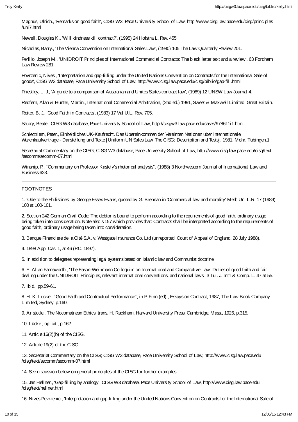Magnus, Ulrich., 'Remarks on good faith', CISG W3, PaceUniversity School of Law, http://www.cisg.law.pace.edu/cisg/principles /uni7.html

Newell, Douglas K., 'Will kindness kill contract?', (1995) 24 Hofstra L. Rev. 455.

Nicholas, Barry., 'The Vienna Convention on International Sales Law', (1980) 105 The Law Quarterly Review 201.

Perillo, Joseph M., 'UNIDROIT Principles of International Commercial Contracts: The black letter text and a review', 63 Fordham Law Review 281.

Povrzenic, Nives., 'Interpretation and gap-filling under the United Nations Convention on Contracts for the International Sale of goods', CISG W3 database, Pace University School of Law, http://www.cisg.law.pace.edu/cisg/biblio/gap-fill.html

Priestley, L. J., 'A guide to a comparison of Australian and Unites States contract law', (1989) 12 UNSW Law Journal 4.

Redfern, Alan & Hunter, Martin., International Commercial Arbitration, (2nd ed.) 1991, Sweet & Maxwell Limited, Great Britain.

Reiter, B. J., 'Good Faith in Contracts', (1983) 17 Val U.L. Rev. 705.

Satory, Beate., CISG W3 database, Pace University School of Law, http://cisgw3.law.pace.edu/cases/978611i1.html

Schlectriem, Peter., Einheitliches UK-Kaufrecht. Das Ubereinkommen der Vereinten Nationen uber internationale Warenkaufvertrage - Darstellung und Texte [Uniform UN Sales Law. The CISG: Description and Tests], 1981, Mohr, Tubingen.1

Secretariat Commentary on the CISG; CISG W3 database, Pace University School of Law, http://www.cisg.law.pace.edu/cisg/text /secomm/secomm-07.html

Winship, P., "Commentary on Professor Kastely's rhetorical analysis", (1988) 3 Northwestern Journal of International Law and Business 623.

#### FOOTNOTES

1. 'Ode to the Philistines' by George Essex Evans, quoted by G. Brennan in 'Commercial law and morality' Melb Uni L.R. 17 (1989) 100 at 100-101.

2. Section 242 German Civil Code: The debtor is bound to perform according to the requirements of good faith, ordinary usage being taken into consideration. Note also s.157 which provides that: Contracts shall be interpreted according to the requirements of good faith, ordinary usage being taken into consideration.

3. Banque Financiere de la Cité S.A. v. Westgate Insurance Co. Ltd (unreported, Court of Appeal of England, 28 July 1988).

4. 1898 App. Cas. 1, at 46 (P.C. 1897).

5. In addition to delegates representing legal systems based on Islamic law and Communist doctrine.

6. E. Allan Farnsworth., 'The Eason-Weinmann Colloquim on International and Comparative Law: Duties of good faith and fair dealing under the UNIDROIT Principles, relevant international conventions, and national laws', 3 Tul. J. Int'l & Comp. L. 47 at 55.

7. Ibid., pp.59-61.

8. H. K. Lücke., "Good Faith and Contractual Performance", in P. Finn (ed)., Essays on Contract, 1987, The Law Book Company Limited, Sydney, p.160.

9. Aristotle., The Nocomatnean Ethics, trans. H. Rackham, Harvard University Press, Cambridge, Mass., 1926, p.315.

10. Lücke., op. cit., p.162.

11. Article 16(2)(b) of the CISG.

12. Article 19(2) of the CISG.

13. Secretariat Commentary on the CISG; CISG W3 database, Pace University School of Law, http://www.cisg.law.pace.edu /cisg/text/secomm/secomm-07.html

14. See discussion below on general principles of the CISG for further examples.

15. Jan Hellner., 'Gap-filling by analogy', CISG W3 database, Pace University School of Law, http://www.cisg.law.pace.edu /cisg/text/hellner.html

16. Nives Povrzenic., 'Interpretation and gap-filling under the United Nations Convention on Contracts for the International Sale of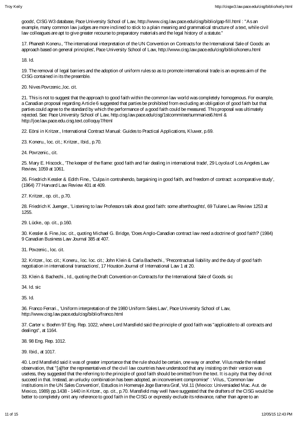goods', CISG W3 database, Pace University School of Law, http://www.cisg.law.pace.edu/cisg/biblio/gap-fill.html : "Asan example, many common law judges are more inclined to stick to a plain meaning and grammatical structure of a text, while civil law colleagues are apt to give greater recourse to preparatory materials and the legal history of a statute."

17. Phanesh Koneru., 'The international interpretation of the UN Convention on Contracts for the International Sale of Goods: an approach based on general principles', Pace University School of Law, http://www.cisg.law.pace.edu/cisg/biblio/koneru.html

18. Id.

19. The removal of legal barriers and the adoption of uniform rules so as to promote international trade is an express aim of the CISG contained in its the preamble.

20. Nives Povrzenic.,loc. cit.

21. This is not to suggest that the approach to good faith within the common law world was completely homogenous. For example, a Canadian proposal regarding Article 6 suggested that parties be prohibited from excluding an obligation of good faith but that parties could agree to the standard by which the performance of a good faith could be measured. This proposal was ultimately rejected. See: Pace University School of Law, http.cisg.law.pace.edu/cisg/1stcommitee/summaries6.html & http://joe.law.pace.edu.cisg.text.colloquy7/html

22. Eörsi in Kritzer., International Contract Manual: Guides to Practical Applications, Kluwer, p.69.

23. Koneru., loc. cit.; Kritzer., Ibid., p.70.

24. Povrzenic., cit.

25. Mary E. Hiscock., 'The keeper of the flame: good faith and fair dealing in international trade', 29 Loyola of Los Angeles Law Review, 1059 at 1061.

26. Friedrich Kessler & Edith Fine., 'Culpa in contrahendo, bargaining in good faith, and freedom of contract: a comparative study', (1964) 77 Harvard Law Review 401 at 409.

27. Kritzer., op. cit., p.70.

28. Friedrich K Juenger., 'Listening to law Professors talk about good faith: some afterthoughts', 69 Tulane Law Review 1253 at 1255.

29. Lücke., op. cit., p.160.

30. Kessler & Fine.,loc. cit., quoting Michael G. Bridge, 'Does Anglo-Canadian contract law need a doctrine of good faith?' (1984) 9 Canadian Business Law Journal 385 at 407.

31. Povzenic., loc. cit.

32. Kritzer., loc. cit.; Koneru., loc. loc. cit.; John Klein & Carla Bachechi., 'Precontractual liability and the duty of good faith negotiation in international transactions', 17 Houston Journal of International Law 1 at 20.

33. Klein & Bachechi., Id., quoting the Draft Convention on Contracts for the International Sale of Goods. sic

34. Id. sic

35. Id.

36. Franco Ferrari., 'Uniform interpretation of the 1980 Uniform Sales Law', Pace University School of Law, http://www.cisg.law.pace.edu/cisg/biblio/franco.html

37. Carter v. Boehm 97 Eng. Rep. 1022, where Lord Mansfield said the principle of good faith was "applicable to all contracts and dealings", at 1164.

38. 98 Eng. Rep. 1012.

39. Ibid., at 1017.

40. Lord Mansfield said it was of greater importance that the rule should be certain, one way or another. Vilus made the related observation, that "[a]fter the representatives of the civil law countries have understood that any insisting on their version was useless, they suggested that the referring to the principle of good faith should be omitted from the text. It is a pity that they did not succeed in that. Instead, an unlucky combination has been adopted, an inconvenient compromise" : Vilus., 'Common law institutions in the UN Sales Convention', Estudios in Homenaje Joge Barrera Graf, Vol.11 (Mexico: Universiaded Mac. Aut. de Mexico, 1989) pp.1438 - 1440 in Kritzer., op. cit., p.70. Mansfield may well have suggested that the drafters of the CISG would be better to completely omit any reference to good faith in the CISG or expressly exclude its relevance, rather than agree to an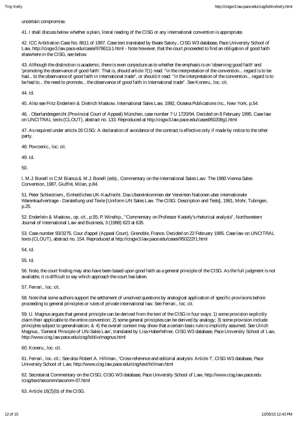uncertain compromise.

41. I shall discuss below whether a plain, literal reading of the CISG or any international convention is appropriate.

42. ICC Arbitration Case No. 8611 of 1997. Case text translated by Beate Satory., CISG W3 database, Pace University School of Law, http://cisgw3.law.pace.edu/cases/978611i1.html - Note however, that the court proceeded to find an obligation of good faith elsewhere in the CISG, see below.

43. Although the distinction is academic, there is even conjecture as to whether the emphasis is on 'observing good faith' and 'promoting the observance of good faith'. That is, should article 7(1) read: "in the interpretation of the convention... regard is to be had... to the observance of good faith in international trade", or should it read: "in the interpretation of the convention... regard is to be had to... the need to promote... the observance of good faith in international trade". See Koneru., loc. cit.

44. Id.

45. Also see Fritz Enderlein & Dietrich Maskow, International Sales Law, 1992, Oceana Publications Inc., New York, p.54.

46. . Oberlandesgericht (Provincial Court of Appeal) München, case number 7 U 1720/94. Decided on 8 February 1995. Case law on UNCITRAL texts (CLOUT), abstract no. 133. Reproduced at http:/cisgw3.law.pace.edu/cases950208g1.html

47. As required under article 26 CISG: A declaration of avoidance of the contract is effective only if made by notice to the other party.

48. Povrzenic., loc. cit.

49. Id.

50.

l. M.J. Bonell in C.M Bianca & M.J. Bonell (eds)., Commentary on the International Sales Law: The 1980 Vienna Sales Convention, 1987, Giuffré, Milan, p.84.

51. Peter Schlectriem., Einheitliches UK-Kaufrecht. Das Ubereinkommen der Vereinten Nationen uber internationale Warenkaufvertrage - Darstellung und Texte [Uniform UN Sales Law. The CISG: Description and Tests], 1981, Mohr, Tubingen, p.25.

52. Enderlein & Maskow., op. cit., p.55; P. Winship., "Commentary on Professor Kastely's rhetorical analysis", Northwestern Journal of International Law and Business, 3 (1988) 623 at 635.

53. Case number 93/3275. Cour d'appel (Appeal Court), Grenoble, France. Decided on 22 February 1995. Case law on UNCITRAL texts (CLOUT), abstract no. 154. Reproduced at http://cisgw3.law.pace.edu/cases/950222f1.html

54. Id.

55. Id.

56. Note, the court finding may also have been based upon good faith as a general principle of the CISG. As the full judgment is not available, it is difficult to say which approach the court has taken.

57. Ferrari., loc. cit.

58. Note that some authors support the settlement of unsolved questions by analogical application of specific provisions before proceeding to general principles or rules of private international law. See Ferrari., loc. cit.

59. U. Magnus argues that general principle can be derived from the text of the CISG in four ways: 1) some provision explicitly claim their applicable to the entire convention; 2) some general principles can be derived by analogy; 3) some provision include principles subject to generalisation; & 4) the overall context may show that a certain basic rule is implicitly assumed. See Ulrich Magnus., 'General Principle of UN-Sales Law', translated by Lisa Haberfellner, CISG W3 database, Pace University School of Law, http://www.cisg.law.pace.edu/cisg/biblio/magnus.html

60. Koneru., loc. cit.

61. Ferrari., loc. cit.; See also Robert A. Hillman., 'Cross-reference and editorial analysis: Article 7', CISG W3 database, Pace University School of Law, http://www.cisg.law.pace.edu/cisg/text/hillman.html

62. Secretariat Commentary on the CISG; CISG W3 database, Pace University School of Law, http://www.cisg.law.pace.edu /cisg/text/secomm/secomm-07.html

63. Article 16(2)(b) of the CISG.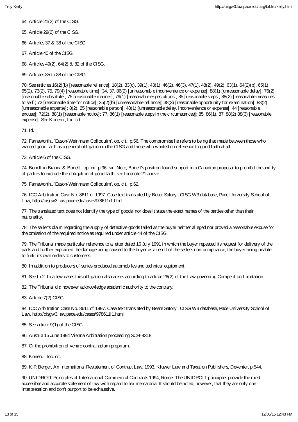64. Article 21(2) of the CISG.

65. Article 29(2) of the CISG.

66. Articles 37 & 38 of the CISG.

67. Article 40 of the CISG.

68. Articles 49(2), 64(2) & 82 of the CISG.

69. Articles 85 to 88 of the CISG.

70. See articles 16(2)(b) [reasonable reliance]; 18(2), 33(c), 39(1), 43(1), 46(2), 46(3), 47(1), 48(2), 49(2), 63(1), 64(2)(b), 65(1), 65(2), 73(2), 75, 79(4) [reasonable time]; 34, 37, 86(2) [unreasonable inconvenience or expense]; 88(1) [unreasonable delay]; 76(2) [reasonable substitute]; 75 [reasonable manner]; 79(1) [reasonable expectations]; 85 [reasonable steps]; 88(2) [reasonable measures to sell]; 72 [reasonable time for notice]; 35(2)(b) [unreasonable reliance]; 38(3) [reasonable opportunity for examination]; 88(2) [unreasonable expense]; 8(2), 25 [reasonable person]; 48(1) [unreasonable delay, inconvenience or expense]; 44 [reasonable excuse]; 72(2), 88(1) [reasonable notice]; 77, 86(1) [reasonable steps in the circumstances]; 85, 86(1), 87, 88(2) 88(3) [reasonable expense]. See Koneru., loc. cit.

71. Id.

72. Farnsworth., 'Eason-Weinmann Colloquim', op. cit., p.56. The compromise he refers to being that made between those who wanted good faith as a general obligation in the CISG and those who wanted no reference to good faith at all.

73. Article 6 of the CISG.

74. Bonell in Bianca & Bonell., op. cit. p.96, sic. Note, Bonell's position found support in a Canadian proposal to prohibit the ability of parties to exclude the obligation of good faith, see footnote 21 above.

75. Farnsworth., 'Eason-Weinmann Colloquim', op. cit., p.62.

76. ICC Arbitration Case No. 8611 of 1997. Case text translated by Beate Satory., CISG W3 database, Pace University School of Law, http://cisgw3.law.pace.edu/cases978611i1.html

77. The translated text does not identify the type of goods, nor does it state the exact names of the parties other than their nationality.

78. The seller's claim regarding the supply of defective goods failed as the buyer neither alleged nor proved a reasonable excuse for the omission of the required notice as required under article 44 of the CISG.

79. The Tribunal made particular reference to a letter dated 16 July 1991 in which the buyer repeated its request for delivery of the parts and further explained the damage being caused to the buyer as a result of the sellers non-compliance, the buyer being unable to fulfil its own orders to customers.

80. In addition to producers of series-produced automobiles and technical equipment.

81. See fn.2. In a few cases this obligation also arises according to article 26(2) of the Law governing Competition Limitation.

82. The Tribunal did however acknowledge academic authority to the contrary.

83. Article 7(2) CISG.

84. ICC Arbitration Case No. 8611 of 1997. Case text translated by Beate Satory., CISG W3 database, Pace University School of Law, http://cisgw3.law.pace.edu/cases/978611i1.html

- 85. See article 9(1) of the CISG.
- 86. Austria 15 June 1994 Vienna Arbitration proceeding SCH-4318.
- 87. Or the prohibition of venire contra factum proprium.
- 88. Koneru., loc. cit.

89. K.P. Berger, An International Restatement of Contract Law, 1993, Kluwer Law and Taxation Publishers, Deventer, p.544.

90. UNIDROIT Principles of International Commercial Contracts 1994, Rome. The UNIDROIT principles provide the most accessible and accurate statement of law with regard to lex mercatoria. It should be noted, however, that they are only one interpretation and don't purport to be exhaustive.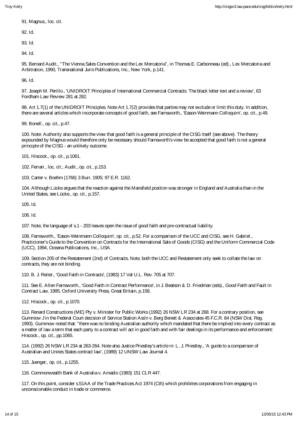91. Magnus., loc. cit.

92. Id.

93. Id.

94. Id.

95. Bernard Audit., "The Vienna Sales Convention and the Lex Mercatoria", in Thomas E. Carbonneau (ed)., Lex Mercatoria and Arbitration, 1990, Transnational Juris Publications, Inc., New York, p.141.

96. Id.

97. Joseph M. Perillo., 'UNIDROIT Principles of International Commercial Contracts: The black letter text and a review', 63 Fordham Law Review 281 at 282.

98. Art 1.7(1) of the UNIDROIT Principles. Note Art 1.7(2) provides that parties may not exclude or limit this duty. In addition, there are several articles which incorporate concepts of good faith, see Farnsworth., 'Eason-Weinmann Colloquim', op. cit., p.49.

99. Bonell., op. cit., p.47.

100. Note: Authority also supports the view that good faith is a general principle of the CISG itself (see above). The theory expounded by Magnus would therefore only be necessary should Farnsworth's view be accepted that good faith is not a general principle of the CISG - an unlikely outcome.

101. Hiscock., op. cit., p.1061.

102. Ferrari., loc. cit.; Audit., op. cit., p.153.

103. Carter v. Boehm (1766) 3 Burr. 1905; 97 E.R. 1162.

104. Although Lücke argues that the reaction against the Mansfield position was stronger in England and Australia than in the United States, see Lücke., op. cit., p.157.

105. Id.

106. Id.

107. Note, the language of s.1 - 203 leaves open the issue of good faith and pre-contractual liability.

108. Farnsworth., 'Eason-Weinmann Colloquim', op. cit., p.52. For a comparison of the UCC and CISG, see H. Gabriel., Practicioner's Guide to the Convention on Contracts for the International Sale of Goods (CISG) and the Uniform Commercial Code (UCC), 1994, Oceana Publications, Inc., USA.

109. Section 205 of the Restatement (2nd) of Contracts. Note, both the UCC and Restatement only seek to collate the law on contracts, they are not binding.

110. B. J. Reiter., 'Good Faith in Contracts', (1983) 17 Val U.L. Rev. 705 at 707.

111. See E. Allen Farnsworth., 'Good Faith in Contract Performance', in J. Beatson & D. Friedman (eds)., Good Faith and Fault in Contract Law, 1995, Oxford University Press, Great Britain, p.158.

112. Hiscock., op. cit., p.1070.

113. Renard Constructions (ME) Pty v. Minister for Public Works (1992) 26 NSW LR 234 at 268. For a contrary position, see Gummow J in the Federal Court decision of Service Station Ass'n v. Berg Benett & Associates 45 F.C.R. 84 (NSW Dist. Reg. 1993). Gummow noted that: "there was no binding Australian authority which mandated that there be implied into every contract as a matter of law a term that each party to a contract will act in good faith and with fair dealings in its performance and enforcement: Hiscock., op. cit., pp.1065.

114. (1992) 26 NSW LR 234 at 263-264. Note also Justice Priestley's article in: L. J. Priestley., 'A guide to a comparison of Australian and Unites States contract law', (1989) 12 UNSW Law Journal 4.

115. Juenger., op. cit., p.1255.

116. Commonwealth Bank of Australia v. Amadio (1983) 151 CLR 447.

117. On this point, consider s.51AA of the Trade Practices Act 1974 (Cth) which prohibites corporations from engaging in unconscionable conduct in trade or commerce.